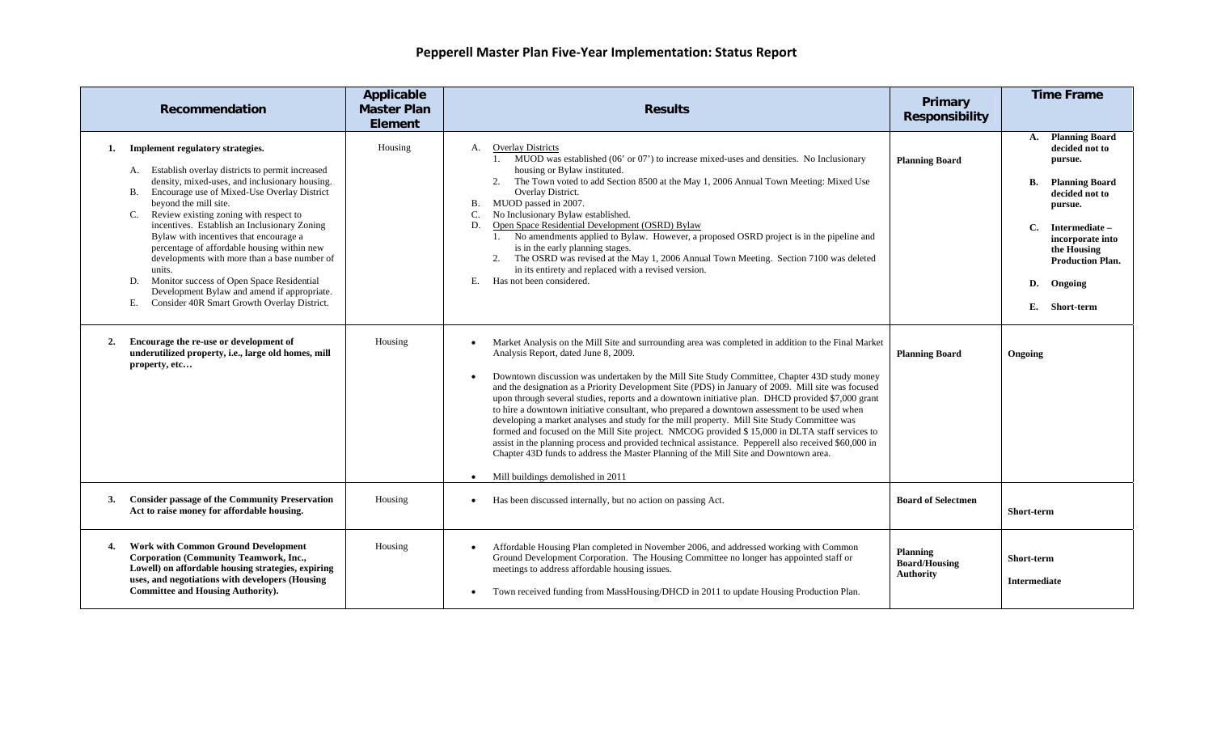| Recommendation                                                                                                                                                                                                                                                                                                                                                                                                                                                                                                                                                                                                                   | Applicable<br><b>Master Plan</b><br>Element | <b>Results</b>                                                                                                                                                                                                                                                                                                                                                                                                                                                                                                                                                                                                                                                                                                                                                                                                                                                                                                                                                                                             | <b>Primary</b><br><b>Responsibility</b>              | <b>Time Frame</b>                                                                                                                                                                                                                                      |
|----------------------------------------------------------------------------------------------------------------------------------------------------------------------------------------------------------------------------------------------------------------------------------------------------------------------------------------------------------------------------------------------------------------------------------------------------------------------------------------------------------------------------------------------------------------------------------------------------------------------------------|---------------------------------------------|------------------------------------------------------------------------------------------------------------------------------------------------------------------------------------------------------------------------------------------------------------------------------------------------------------------------------------------------------------------------------------------------------------------------------------------------------------------------------------------------------------------------------------------------------------------------------------------------------------------------------------------------------------------------------------------------------------------------------------------------------------------------------------------------------------------------------------------------------------------------------------------------------------------------------------------------------------------------------------------------------------|------------------------------------------------------|--------------------------------------------------------------------------------------------------------------------------------------------------------------------------------------------------------------------------------------------------------|
| Implement regulatory strategies.<br>1.<br>A. Establish overlay districts to permit increased<br>density, mixed-uses, and inclusionary housing.<br>Encourage use of Mixed-Use Overlay District<br>B.<br>beyond the mill site.<br>Review existing zoning with respect to<br>incentives. Establish an Inclusionary Zoning<br>Bylaw with incentives that encourage a<br>percentage of affordable housing within new<br>developments with more than a base number of<br>units.<br>Monitor success of Open Space Residential<br>D.<br>Development Bylaw and amend if appropriate.<br>Consider 40R Smart Growth Overlay District.<br>Е. | Housing                                     | A. Overlay Districts<br>1. MUOD was established (06' or 07') to increase mixed-uses and densities. No Inclusionary<br>housing or Bylaw instituted.<br>The Town voted to add Section 8500 at the May 1, 2006 Annual Town Meeting: Mixed Use<br>2.<br>Overlay District.<br>MUOD passed in 2007.<br><b>B.</b><br>No Inclusionary Bylaw established.<br>C.<br>Open Space Residential Development (OSRD) Bylaw<br>D.<br>1. No amendments applied to Bylaw. However, a proposed OSRD project is in the pipeline and<br>is in the early planning stages.<br>The OSRD was revised at the May 1, 2006 Annual Town Meeting. Section 7100 was deleted<br>2.<br>in its entirety and replaced with a revised version.<br>Has not been considered.<br>E.                                                                                                                                                                                                                                                                 | <b>Planning Board</b>                                | <b>Planning Board</b><br>A.<br>decided not to<br>pursue.<br>B.<br><b>Planning Board</b><br>decided not to<br>pursue.<br><b>C.</b><br>Intermediate -<br>incorporate into<br>the Housing<br><b>Production Plan.</b><br>Ongoing<br>D.<br>E.<br>Short-term |
| Encourage the re-use or development of<br>2.<br>underutilized property, i.e., large old homes, mill<br>property, etc                                                                                                                                                                                                                                                                                                                                                                                                                                                                                                             | Housing                                     | Market Analysis on the Mill Site and surrounding area was completed in addition to the Final Market<br>$\bullet$<br>Analysis Report, dated June 8, 2009.<br>Downtown discussion was undertaken by the Mill Site Study Committee, Chapter 43D study money<br>and the designation as a Priority Development Site (PDS) in January of 2009. Mill site was focused<br>upon through several studies, reports and a downtown initiative plan. DHCD provided \$7,000 grant<br>to hire a downtown initiative consultant, who prepared a downtown assessment to be used when<br>developing a market analyses and study for the mill property. Mill Site Study Committee was<br>formed and focused on the Mill Site project. NMCOG provided \$15,000 in DLTA staff services to<br>assist in the planning process and provided technical assistance. Pepperell also received \$60,000 in<br>Chapter 43D funds to address the Master Planning of the Mill Site and Downtown area.<br>Mill buildings demolished in 2011 | <b>Planning Board</b>                                | Ongoing                                                                                                                                                                                                                                                |
| <b>Consider passage of the Community Preservation</b><br>3.<br>Act to raise money for affordable housing.                                                                                                                                                                                                                                                                                                                                                                                                                                                                                                                        | Housing                                     | Has been discussed internally, but no action on passing Act.<br>$\bullet$                                                                                                                                                                                                                                                                                                                                                                                                                                                                                                                                                                                                                                                                                                                                                                                                                                                                                                                                  | <b>Board of Selectmen</b>                            | <b>Short-term</b>                                                                                                                                                                                                                                      |
| <b>Work with Common Ground Development</b><br>4.<br>Corporation (Community Teamwork, Inc.,<br>Lowell) on affordable housing strategies, expiring<br>uses, and negotiations with developers (Housing<br><b>Committee and Housing Authority).</b>                                                                                                                                                                                                                                                                                                                                                                                  | Housing                                     | Affordable Housing Plan completed in November 2006, and addressed working with Common<br>Ground Development Corporation. The Housing Committee no longer has appointed staff or<br>meetings to address affordable housing issues.<br>Town received funding from MassHousing/DHCD in 2011 to update Housing Production Plan.                                                                                                                                                                                                                                                                                                                                                                                                                                                                                                                                                                                                                                                                                | Planning<br><b>Board/Housing</b><br><b>Authority</b> | <b>Short-term</b><br><b>Intermediate</b>                                                                                                                                                                                                               |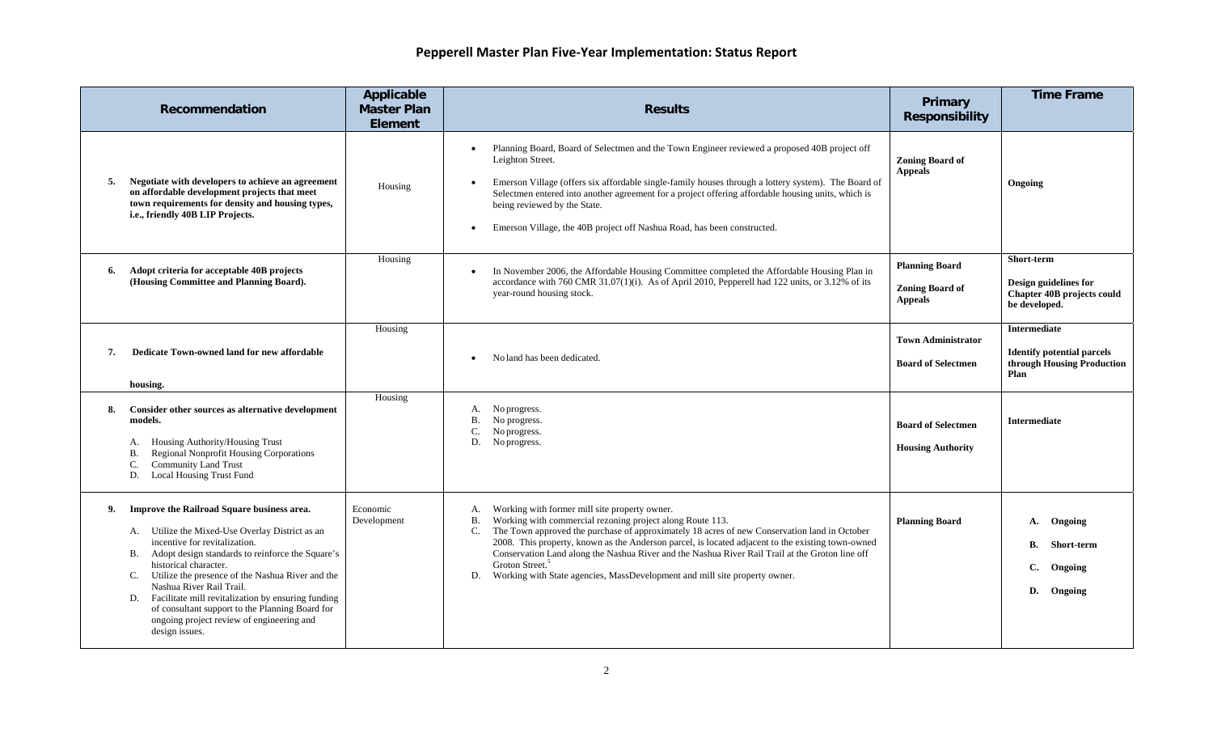|    | Recommendation                                                                                                                                                                                                                                                                                                                                                                                                                                                                         | Applicable<br><b>Master Plan</b><br><b>Element</b> | <b>Results</b>                                                                                                                                                                                                                                                                                                                                                                                                                                                                                                                                          | Primary<br><b>Responsibility</b>                                  | <b>Time Frame</b>                                                                         |
|----|----------------------------------------------------------------------------------------------------------------------------------------------------------------------------------------------------------------------------------------------------------------------------------------------------------------------------------------------------------------------------------------------------------------------------------------------------------------------------------------|----------------------------------------------------|---------------------------------------------------------------------------------------------------------------------------------------------------------------------------------------------------------------------------------------------------------------------------------------------------------------------------------------------------------------------------------------------------------------------------------------------------------------------------------------------------------------------------------------------------------|-------------------------------------------------------------------|-------------------------------------------------------------------------------------------|
| 5. | Negotiate with developers to achieve an agreement<br>on affordable development projects that meet<br>town requirements for density and housing types,<br>i.e., friendly 40B LIP Projects.                                                                                                                                                                                                                                                                                              | Housing                                            | Planning Board, Board of Selectmen and the Town Engineer reviewed a proposed 40B project off<br>$\bullet$<br>Leighton Street.<br>Emerson Village (offers six affordable single-family houses through a lottery system). The Board of<br>Selectmen entered into another agreement for a project offering affordable housing units, which is<br>being reviewed by the State.<br>Emerson Village, the 40B project off Nashua Road, has been constructed.                                                                                                   | <b>Zoning Board of</b><br><b>Appeals</b>                          | Ongoing                                                                                   |
| 6. | Adopt criteria for acceptable 40B projects<br>(Housing Committee and Planning Board).                                                                                                                                                                                                                                                                                                                                                                                                  | Housing                                            | In November 2006, the Affordable Housing Committee completed the Affordable Housing Plan in<br>accordance with 760 CMR 31.07(1)(i). As of April 2010, Pepperell had 122 units, or 3.12% of its<br>year-round housing stock.                                                                                                                                                                                                                                                                                                                             | <b>Planning Board</b><br><b>Zoning Board of</b><br><b>Appeals</b> | Short-term<br>Design guidelines for<br><b>Chapter 40B projects could</b><br>be developed. |
| 7. | Dedicate Town-owned land for new affordable<br>housing.                                                                                                                                                                                                                                                                                                                                                                                                                                | Housing                                            | No land has been dedicated.                                                                                                                                                                                                                                                                                                                                                                                                                                                                                                                             | <b>Town Administrator</b><br><b>Board of Selectmen</b>            | Intermediate<br><b>Identify potential parcels</b><br>through Housing Production<br>Plan   |
| 8. | Consider other sources as alternative development<br>models.<br>Housing Authority/Housing Trust<br>А.<br>Regional Nonprofit Housing Corporations<br>В.<br><b>Community Land Trust</b><br><b>Local Housing Trust Fund</b><br>D.                                                                                                                                                                                                                                                         | Housing                                            | No progress.<br>А.<br>B. No progress.<br>C.<br>No progress.<br>D. No progress.                                                                                                                                                                                                                                                                                                                                                                                                                                                                          | <b>Board of Selectmen</b><br><b>Housing Authority</b>             | <b>Intermediate</b>                                                                       |
| 9. | Improve the Railroad Square business area.<br>A. Utilize the Mixed-Use Overlay District as an<br>incentive for revitalization.<br>Adopt design standards to reinforce the Square's<br><b>B.</b><br>historical character.<br>C. Utilize the presence of the Nashua River and the<br>Nashua River Rail Trail.<br>D. Facilitate mill revitalization by ensuring funding<br>of consultant support to the Planning Board for<br>ongoing project review of engineering and<br>design issues. | Economic<br>Development                            | Working with former mill site property owner.<br>A.<br>Working with commercial rezoning project along Route 113.<br>В.<br>The Town approved the purchase of approximately 18 acres of new Conservation land in October<br>C.<br>2008. This property, known as the Anderson parcel, is located adjacent to the existing town-owned<br>Conservation Land along the Nashua River and the Nashua River Rail Trail at the Groton line off<br>Groton Street. <sup>5</sup><br>Working with State agencies, MassDevelopment and mill site property owner.<br>D. | <b>Planning Board</b>                                             | Ongoing<br>А.<br>В.<br>Short-term<br>C.<br>Ongoing<br>D.<br>Ongoing                       |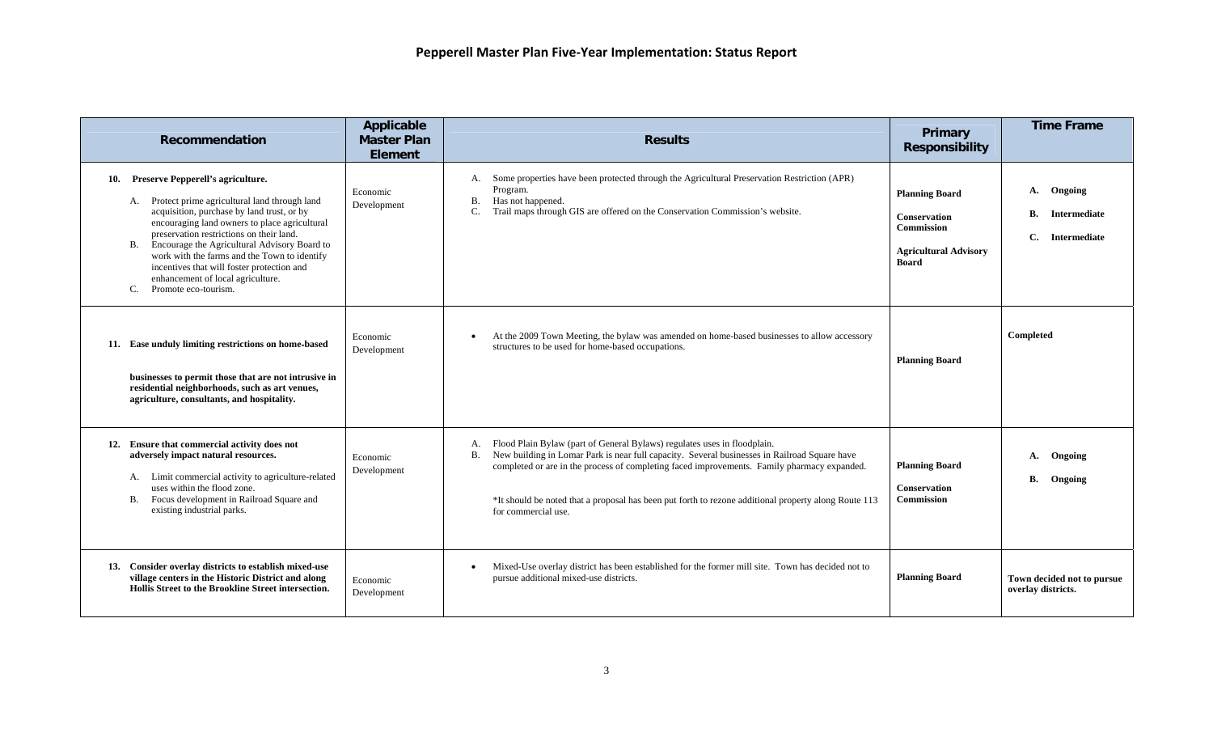| Recommendation                                                                                                                                                                                                                                                                                                                                                                                                                                              | Applicable<br><b>Master Plan</b><br><b>Element</b> | <b>Results</b>                                                                                                                                                                                                                                                                                                                                                                                                                        | Primary<br><b>Responsibility</b>                                                                                  | <b>Time Frame</b>                                                       |
|-------------------------------------------------------------------------------------------------------------------------------------------------------------------------------------------------------------------------------------------------------------------------------------------------------------------------------------------------------------------------------------------------------------------------------------------------------------|----------------------------------------------------|---------------------------------------------------------------------------------------------------------------------------------------------------------------------------------------------------------------------------------------------------------------------------------------------------------------------------------------------------------------------------------------------------------------------------------------|-------------------------------------------------------------------------------------------------------------------|-------------------------------------------------------------------------|
| 10. Preserve Pepperell's agriculture.<br>A. Protect prime agricultural land through land<br>acquisition, purchase by land trust, or by<br>encouraging land owners to place agricultural<br>preservation restrictions on their land.<br>Encourage the Agricultural Advisory Board to<br><b>B.</b><br>work with the farms and the Town to identify<br>incentives that will foster protection and<br>enhancement of local agriculture.<br>Promote eco-tourism. | Economic<br>Development                            | A. Some properties have been protected through the Agricultural Preservation Restriction (APR)<br>Program.<br><b>B.</b><br>Has not happened.<br>Trail maps through GIS are offered on the Conservation Commission's website.<br>C.                                                                                                                                                                                                    | <b>Planning Board</b><br><b>Conservation</b><br><b>Commission</b><br><b>Agricultural Advisory</b><br><b>Board</b> | Ongoing<br>A.<br><b>B.</b><br>Intermediate<br>C.<br><b>Intermediate</b> |
| 11. Ease unduly limiting restrictions on home-based<br>businesses to permit those that are not intrusive in<br>residential neighborhoods, such as art venues,<br>agriculture, consultants, and hospitality.                                                                                                                                                                                                                                                 | Economic<br>Development                            | At the 2009 Town Meeting, the bylaw was amended on home-based businesses to allow accessory<br>structures to be used for home-based occupations.                                                                                                                                                                                                                                                                                      | <b>Planning Board</b>                                                                                             | Completed                                                               |
| 12. Ensure that commercial activity does not<br>adversely impact natural resources.<br>A. Limit commercial activity to agriculture-related<br>uses within the flood zone.<br>Focus development in Railroad Square and<br>В.<br>existing industrial parks.                                                                                                                                                                                                   | Economic<br>Development                            | Flood Plain Bylaw (part of General Bylaws) regulates uses in floodplain.<br>А.<br>New building in Lomar Park is near full capacity. Several businesses in Railroad Square have<br><b>B.</b><br>completed or are in the process of completing faced improvements. Family pharmacy expanded.<br><sup>*</sup> It should be noted that a proposal has been put forth to rezone additional property along Route 113<br>for commercial use. | <b>Planning Board</b><br><b>Conservation</b><br><b>Commission</b>                                                 | Ongoing<br>A.<br>В.<br>Ongoing                                          |
| 13. Consider overlay districts to establish mixed-use<br>village centers in the Historic District and along<br>Hollis Street to the Brookline Street intersection.                                                                                                                                                                                                                                                                                          | Economic<br>Development                            | Mixed-Use overlay district has been established for the former mill site. Town has decided not to<br>pursue additional mixed-use districts.                                                                                                                                                                                                                                                                                           | <b>Planning Board</b>                                                                                             | Town decided not to pursue<br>overlay districts.                        |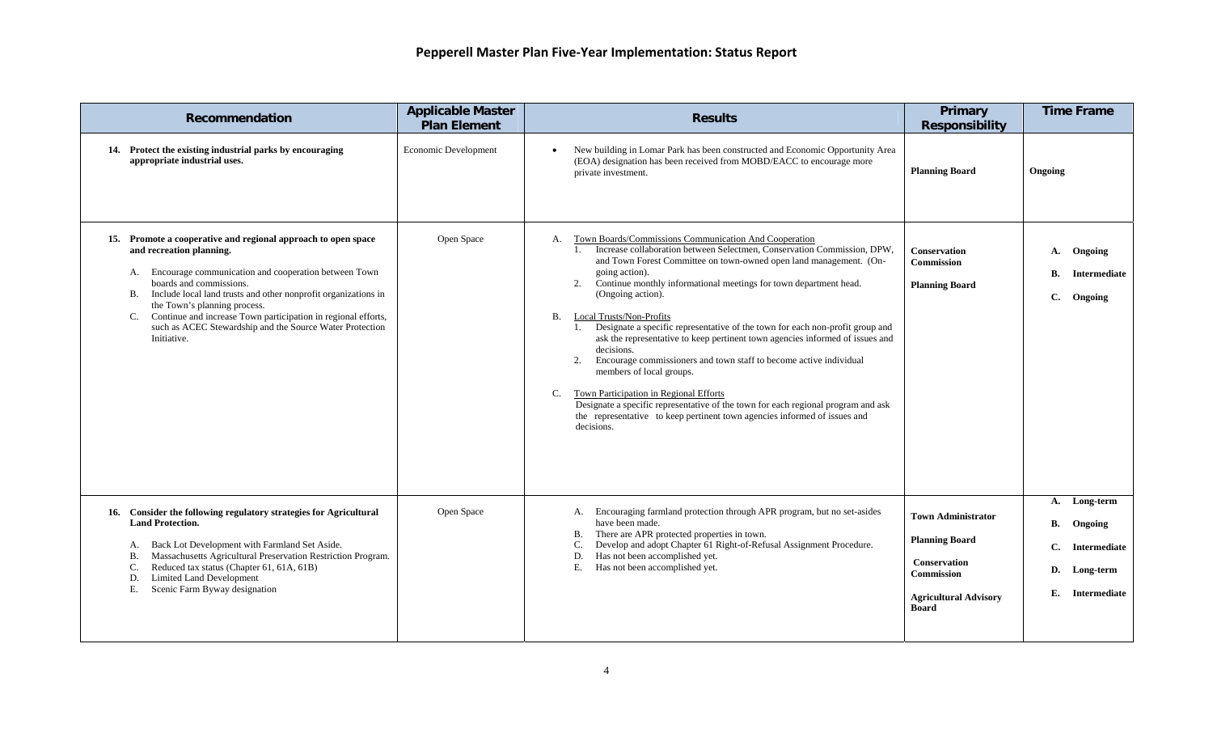| Recommendation                                                                                                                                                                                                                                                                                                                                                                                                                                   | <b>Applicable Master</b><br><b>Plan Element</b> | <b>Results</b>                                                                                                                                                                                                                                                                                                                                                                                                                                                                                                                                                                                                                                                                                                                                                                                                                                                                                     | Primary<br><b>Responsibility</b>                                                                                                        | <b>Time Frame</b>                                                                               |
|--------------------------------------------------------------------------------------------------------------------------------------------------------------------------------------------------------------------------------------------------------------------------------------------------------------------------------------------------------------------------------------------------------------------------------------------------|-------------------------------------------------|----------------------------------------------------------------------------------------------------------------------------------------------------------------------------------------------------------------------------------------------------------------------------------------------------------------------------------------------------------------------------------------------------------------------------------------------------------------------------------------------------------------------------------------------------------------------------------------------------------------------------------------------------------------------------------------------------------------------------------------------------------------------------------------------------------------------------------------------------------------------------------------------------|-----------------------------------------------------------------------------------------------------------------------------------------|-------------------------------------------------------------------------------------------------|
| 14. Protect the existing industrial parks by encouraging<br>appropriate industrial uses.                                                                                                                                                                                                                                                                                                                                                         | Economic Development                            | New building in Lomar Park has been constructed and Economic Opportunity Area<br>(EOA) designation has been received from MOBD/EACC to encourage more<br>private investment.                                                                                                                                                                                                                                                                                                                                                                                                                                                                                                                                                                                                                                                                                                                       | <b>Planning Board</b>                                                                                                                   | Ongoing                                                                                         |
| 15. Promote a cooperative and regional approach to open space<br>and recreation planning.<br>A. Encourage communication and cooperation between Town<br>boards and commissions.<br>Include local land trusts and other nonprofit organizations in<br><b>B.</b><br>the Town's planning process.<br>Continue and increase Town participation in regional efforts,<br>C.<br>such as ACEC Stewardship and the Source Water Protection<br>Initiative. | Open Space                                      | A. Town Boards/Commissions Communication And Cooperation<br>1. Increase collaboration between Selectmen, Conservation Commission, DPW,<br>and Town Forest Committee on town-owned open land management. (On-<br>going action).<br>Continue monthly informational meetings for town department head.<br>2.<br>(Ongoing action).<br>B. Local Trusts/Non-Profits<br>Designate a specific representative of the town for each non-profit group and<br>1.<br>ask the representative to keep pertinent town agencies informed of issues and<br>decisions.<br>Encourage commissioners and town staff to become active individual<br>2.<br>members of local groups.<br><b>Town Participation in Regional Efforts</b><br>C.<br>Designate a specific representative of the town for each regional program and ask<br>the representative to keep pertinent town agencies informed of issues and<br>decisions. | <b>Conservation</b><br>Commission<br><b>Planning Board</b>                                                                              | Ongoing<br><b>A.</b><br><b>B.</b><br>Intermediate<br>$\mathbf{C}$ .<br>Ongoing                  |
| 16. Consider the following regulatory strategies for Agricultural<br><b>Land Protection.</b><br>Back Lot Development with Farmland Set Aside.<br>А.<br>Massachusetts Agricultural Preservation Restriction Program.<br>В.<br>Reduced tax status (Chapter 61, 61A, 61B)<br>C.<br>Limited Land Development<br>D.<br>Scenic Farm Byway designation<br>Е.                                                                                            | Open Space                                      | A. Encouraging farmland protection through APR program, but no set-asides<br>have been made.<br>There are APR protected properties in town.<br>В.<br>Develop and adopt Chapter 61 Right-of-Refusal Assignment Procedure.<br>C.<br>Has not been accomplished yet.<br>D.<br>Е.<br>Has not been accomplished yet.                                                                                                                                                                                                                                                                                                                                                                                                                                                                                                                                                                                     | <b>Town Administrator</b><br><b>Planning Board</b><br><b>Conservation</b><br>Commission<br><b>Agricultural Advisory</b><br><b>Board</b> | Long-term<br>A.<br>В.<br>Ongoing<br>C.<br>Intermediate<br>D.<br>Long-term<br>E.<br>Intermediate |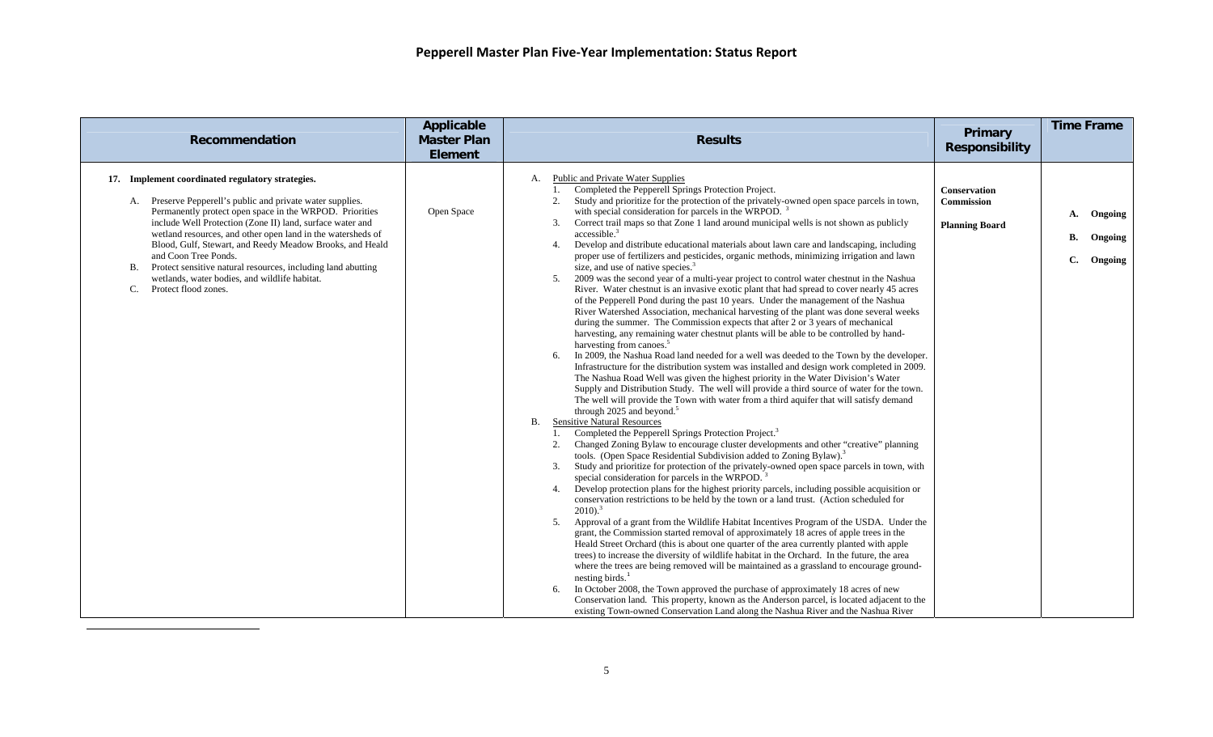<span id="page-4-0"></span>

| <b>Recommendation</b>                                                                                                                                                                                                                                                                                                                                                                                                                                                                                                                                 | <b>Applicable</b><br><b>Master Plan</b><br><b>Element</b> | <b>Results</b>                                                                                                                                                                                                                                                                                                                                                                                                                                                                                                                                                                                                                                                                                                                                                                                                                                                                                                                                                                                                                                                                                                                                                                                                                                                                                                                                                                                                                                                                                                                                                                                                                                                                                                                                                                                                                                                                                                                                                                                                                                                                                                                                                                                                                                                                                                                                                                                                                                                                                                                                                                                                                                                                                                                                                                                                                                                                                                                                                                                                                                                                                                                                                                                                                  | Primary<br><b>Responsibility</b>                           | <b>Time Frame</b>                               |
|-------------------------------------------------------------------------------------------------------------------------------------------------------------------------------------------------------------------------------------------------------------------------------------------------------------------------------------------------------------------------------------------------------------------------------------------------------------------------------------------------------------------------------------------------------|-----------------------------------------------------------|---------------------------------------------------------------------------------------------------------------------------------------------------------------------------------------------------------------------------------------------------------------------------------------------------------------------------------------------------------------------------------------------------------------------------------------------------------------------------------------------------------------------------------------------------------------------------------------------------------------------------------------------------------------------------------------------------------------------------------------------------------------------------------------------------------------------------------------------------------------------------------------------------------------------------------------------------------------------------------------------------------------------------------------------------------------------------------------------------------------------------------------------------------------------------------------------------------------------------------------------------------------------------------------------------------------------------------------------------------------------------------------------------------------------------------------------------------------------------------------------------------------------------------------------------------------------------------------------------------------------------------------------------------------------------------------------------------------------------------------------------------------------------------------------------------------------------------------------------------------------------------------------------------------------------------------------------------------------------------------------------------------------------------------------------------------------------------------------------------------------------------------------------------------------------------------------------------------------------------------------------------------------------------------------------------------------------------------------------------------------------------------------------------------------------------------------------------------------------------------------------------------------------------------------------------------------------------------------------------------------------------------------------------------------------------------------------------------------------------------------------------------------------------------------------------------------------------------------------------------------------------------------------------------------------------------------------------------------------------------------------------------------------------------------------------------------------------------------------------------------------------------------------------------------------------------------------------------------------------|------------------------------------------------------------|-------------------------------------------------|
| 17. Implement coordinated regulatory strategies.<br>A. Preserve Pepperell's public and private water supplies.<br>Permanently protect open space in the WRPOD. Priorities<br>include Well Protection (Zone II) land, surface water and<br>wetland resources, and other open land in the watersheds of<br>Blood, Gulf, Stewart, and Reedy Meadow Brooks, and Heald<br>and Coon Tree Ponds.<br>Protect sensitive natural resources, including land abutting<br><b>B.</b><br>wetlands, water bodies, and wildlife habitat.<br>Protect flood zones.<br>C. | Open Space                                                | Public and Private Water Supplies<br>А.<br>Completed the Pepperell Springs Protection Project.<br>Study and prioritize for the protection of the privately-owned open space parcels in town,<br>2.<br>with special consideration for parcels in the WRPOD.<br>Correct trail maps so that Zone 1 land around municipal wells is not shown as publicly<br>3.<br>accessible. <sup>3</sup><br>Develop and distribute educational materials about lawn care and landscaping, including<br>4.<br>proper use of fertilizers and pesticides, organic methods, minimizing irrigation and lawn<br>size, and use of native species. <sup>3</sup><br>2009 was the second year of a multi-year project to control water chestnut in the Nashua<br>5.<br>River. Water chestnut is an invasive exotic plant that had spread to cover nearly 45 acres<br>of the Pepperell Pond during the past 10 years. Under the management of the Nashua<br>River Watershed Association, mechanical harvesting of the plant was done several weeks<br>during the summer. The Commission expects that after 2 or 3 years of mechanical<br>harvesting, any remaining water chestnut plants will be able to be controlled by hand-<br>harvesting from canoes. <sup>5</sup><br>In 2009, the Nashua Road land needed for a well was deeded to the Town by the developer.<br>Infrastructure for the distribution system was installed and design work completed in 2009.<br>The Nashua Road Well was given the highest priority in the Water Division's Water<br>Supply and Distribution Study. The well will provide a third source of water for the town.<br>The well will provide the Town with water from a third aquifer that will satisfy demand<br>through 2025 and beyond. <sup>5</sup><br><b>Sensitive Natural Resources</b><br>В.<br>Completed the Pepperell Springs Protection Project. <sup>3</sup><br>Changed Zoning Bylaw to encourage cluster developments and other "creative" planning<br>2.<br>tools. (Open Space Residential Subdivision added to Zoning Bylaw). <sup>3</sup><br>Study and prioritize for protection of the privately-owned open space parcels in town, with<br>3.<br>special consideration for parcels in the WRPOD.<br>Develop protection plans for the highest priority parcels, including possible acquisition or<br>conservation restrictions to be held by the town or a land trust. (Action scheduled for<br>$2010$ ). <sup>3</sup><br>5.<br>Approval of a grant from the Wildlife Habitat Incentives Program of the USDA. Under the<br>grant, the Commission started removal of approximately 18 acres of apple trees in the<br>Heald Street Orchard (this is about one quarter of the area currently planted with apple<br>trees) to increase the diversity of wildlife habitat in the Orchard. In the future, the area<br>where the trees are being removed will be maintained as a grassland to encourage ground-<br>nesting birds. $1$<br>In October 2008, the Town approved the purchase of approximately 18 acres of new<br>6.<br>Conservation land. This property, known as the Anderson parcel, is located adjacent to the<br>existing Town-owned Conservation Land along the Nashua River and the Nashua River | <b>Conservation</b><br>Commission<br><b>Planning Board</b> | Ongoing<br>A.<br>В.<br>Ongoing<br>C.<br>Ongoing |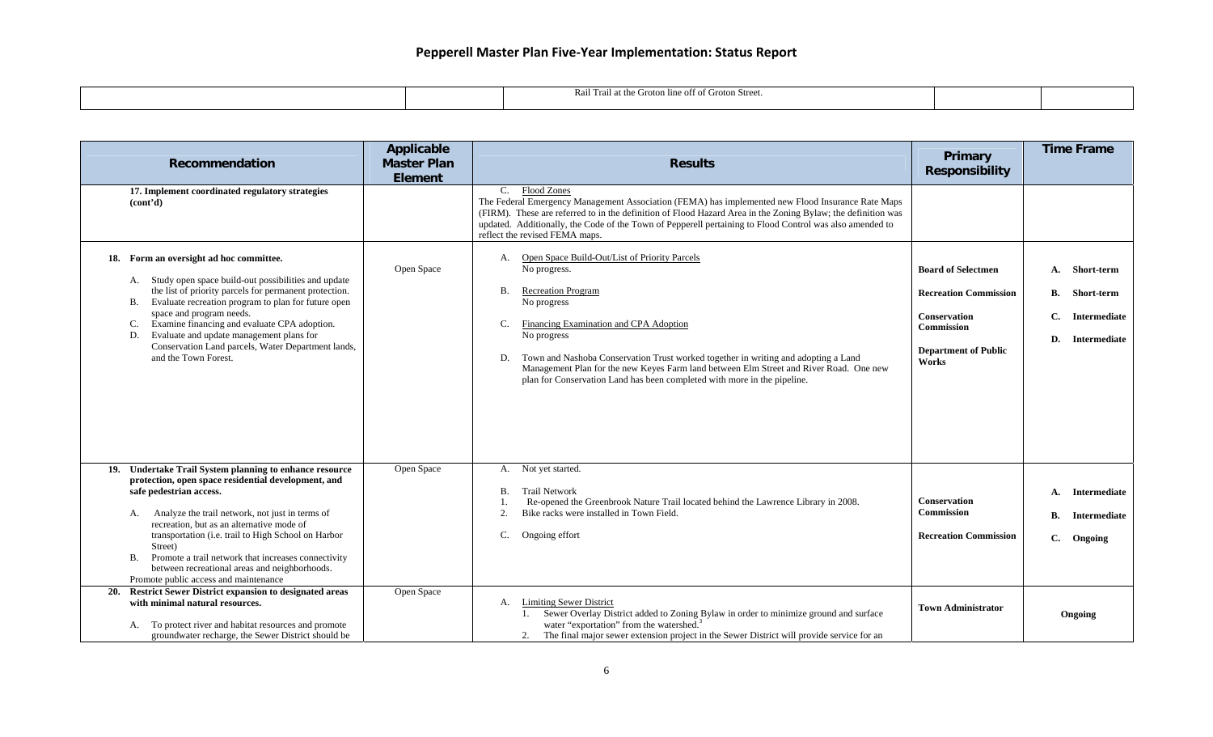|  | $\cdots$<br>I Trail at the Groton line off of Groton Street.<br>wa. |  |
|--|---------------------------------------------------------------------|--|
|  |                                                                     |  |

| Recommendation                                                                                                                                                                                                                                                                                                                                                                                                                                                           | <b>Applicable</b><br><b>Master Plan</b><br><b>Element</b> | <b>Results</b>                                                                                                                                                                                                                                                                                                                                                                                                                                                | Primary<br><b>Responsibility</b>                                                                                                              | <b>Time Frame</b>                                                                       |
|--------------------------------------------------------------------------------------------------------------------------------------------------------------------------------------------------------------------------------------------------------------------------------------------------------------------------------------------------------------------------------------------------------------------------------------------------------------------------|-----------------------------------------------------------|---------------------------------------------------------------------------------------------------------------------------------------------------------------------------------------------------------------------------------------------------------------------------------------------------------------------------------------------------------------------------------------------------------------------------------------------------------------|-----------------------------------------------------------------------------------------------------------------------------------------------|-----------------------------------------------------------------------------------------|
| 17. Implement coordinated regulatory strategies<br>(cont'd)                                                                                                                                                                                                                                                                                                                                                                                                              |                                                           | <b>Flood Zones</b><br>C.<br>The Federal Emergency Management Association (FEMA) has implemented new Flood Insurance Rate Maps<br>(FIRM). These are referred to in the definition of Flood Hazard Area in the Zoning Bylaw; the definition was<br>updated. Additionally, the Code of the Town of Pepperell pertaining to Flood Control was also amended to<br>reflect the revised FEMA maps.                                                                   |                                                                                                                                               |                                                                                         |
| 18. Form an oversight ad hoc committee.<br>A. Study open space build-out possibilities and update<br>the list of priority parcels for permanent protection.<br>Evaluate recreation program to plan for future open<br>В.<br>space and program needs.<br>Examine financing and evaluate CPA adoption.<br>C.<br>Evaluate and update management plans for<br>D.<br>Conservation Land parcels, Water Department lands,<br>and the Town Forest.                               | Open Space                                                | Open Space Build-Out/List of Priority Parcels<br>А.<br>No progress.<br><b>Recreation Program</b><br><b>B.</b><br>No progress<br>Financing Examination and CPA Adoption<br>C.<br>No progress<br>Town and Nashoba Conservation Trust worked together in writing and adopting a Land<br>D.<br>Management Plan for the new Keyes Farm land between Elm Street and River Road. One new<br>plan for Conservation Land has been completed with more in the pipeline. | <b>Board of Selectmen</b><br><b>Recreation Commission</b><br><b>Conservation</b><br><b>Commission</b><br><b>Department of Public</b><br>Works | Short-term<br>А.<br><b>B.</b><br>Short-term<br>C.<br>Intermediate<br>D.<br>Intermediate |
| 19. Undertake Trail System planning to enhance resource<br>protection, open space residential development, and<br>safe pedestrian access.<br>Analyze the trail network, not just in terms of<br>А.<br>recreation, but as an alternative mode of<br>transportation (i.e. trail to High School on Harbor<br>Street)<br>Promote a trail network that increases connectivity<br>В.<br>between recreational areas and neighborhoods.<br>Promote public access and maintenance | Open Space                                                | A. Not yet started.<br><b>Trail Network</b><br><b>B.</b><br>Re-opened the Greenbrook Nature Trail located behind the Lawrence Library in 2008.<br>Bike racks were installed in Town Field.<br>2.<br>C.<br>Ongoing effort                                                                                                                                                                                                                                      | <b>Conservation</b><br><b>Commission</b><br><b>Recreation Commission</b>                                                                      | Intermediate<br>A.<br>В.<br><b>Intermediate</b><br>C.<br>Ongoing                        |
| <b>Restrict Sewer District expansion to designated areas</b><br>20.<br>with minimal natural resources.<br>A. To protect river and habitat resources and promote<br>groundwater recharge, the Sewer District should be                                                                                                                                                                                                                                                    | Open Space                                                | <b>Limiting Sewer District</b><br>А.<br>Sewer Overlay District added to Zoning Bylaw in order to minimize ground and surface<br>water "exportation" from the watershed. <sup>3</sup><br>The final major sewer extension project in the Sewer District will provide service for an                                                                                                                                                                             | <b>Town Administrator</b>                                                                                                                     | Ongoing                                                                                 |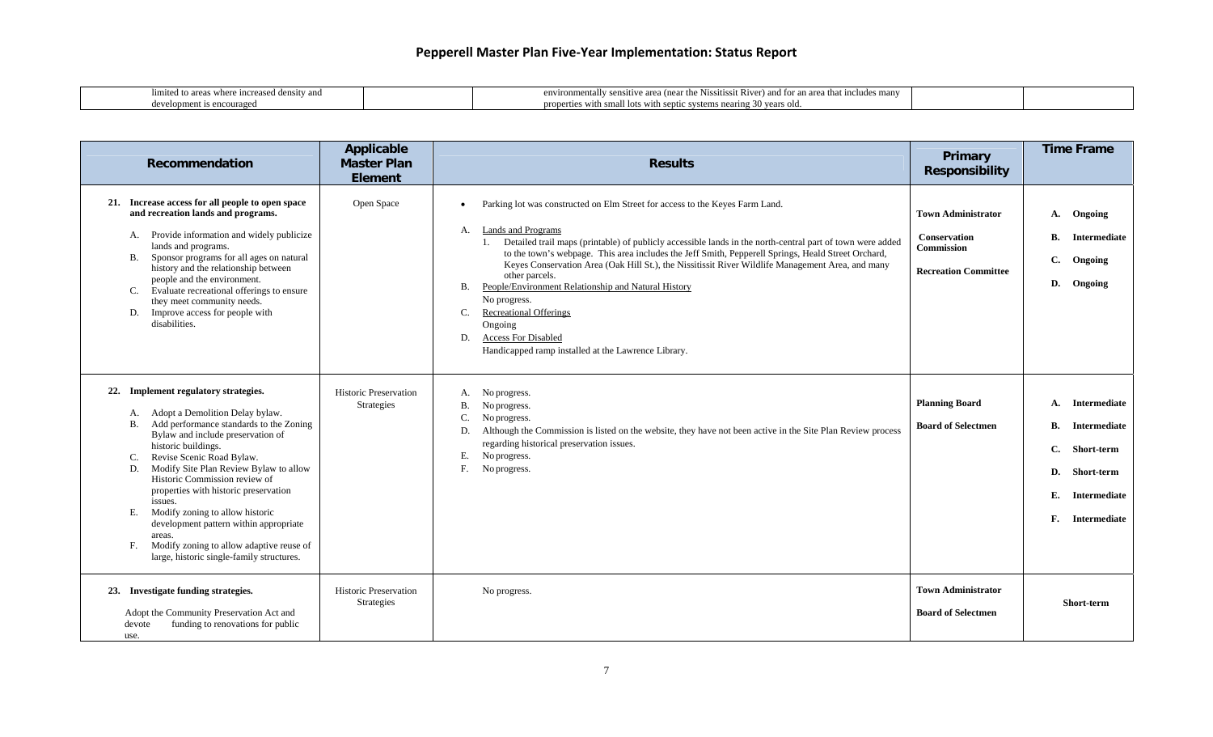| where increased density and<br>mited to areas. | environ<br>.<br>that includes many<br>and for an area.<br>mentally sensitive area (near the Nissitissit)<br>$1.77 \times 10^{-10}$<br>. Kiver) |  |
|------------------------------------------------|------------------------------------------------------------------------------------------------------------------------------------------------|--|
| couraged<br>്ഥന്ന.<br>-18                      | proper.<br>small lots with septic systems nearing .<br>$\sim$ 30 years old.<br>rties with                                                      |  |

| Recommendation                                                                                                                                                                                                                                                                                                                                                                                                                                                                                                                                                        | Applicable<br><b>Master Plan</b><br><b>Element</b> | <b>Results</b>                                                                                                                                                                                                                                                                                                                                                                                                                                                                                                                                                                                                                                                                                  | Primary<br>Responsibility                                                                            | <b>Time Frame</b>                                                                                                                          |
|-----------------------------------------------------------------------------------------------------------------------------------------------------------------------------------------------------------------------------------------------------------------------------------------------------------------------------------------------------------------------------------------------------------------------------------------------------------------------------------------------------------------------------------------------------------------------|----------------------------------------------------|-------------------------------------------------------------------------------------------------------------------------------------------------------------------------------------------------------------------------------------------------------------------------------------------------------------------------------------------------------------------------------------------------------------------------------------------------------------------------------------------------------------------------------------------------------------------------------------------------------------------------------------------------------------------------------------------------|------------------------------------------------------------------------------------------------------|--------------------------------------------------------------------------------------------------------------------------------------------|
| 21. Increase access for all people to open space<br>and recreation lands and programs.<br>A. Provide information and widely publicize<br>lands and programs.<br>Sponsor programs for all ages on natural<br><b>B.</b><br>history and the relationship between<br>people and the environment.<br>Evaluate recreational offerings to ensure<br>C.<br>they meet community needs.<br>Improve access for people with<br>D.<br>disabilities.                                                                                                                                | Open Space                                         | Parking lot was constructed on Elm Street for access to the Keyes Farm Land.<br><b>Lands and Programs</b><br>А.<br>Detailed trail maps (printable) of publicly accessible lands in the north-central part of town were added<br>1.<br>to the town's webpage. This area includes the Jeff Smith, Pepperell Springs, Heald Street Orchard,<br>Keyes Conservation Area (Oak Hill St.), the Nissitissit River Wildlife Management Area, and many<br>other parcels.<br>People/Environment Relationship and Natural History<br><b>B.</b><br>No progress.<br><b>Recreational Offerings</b><br>C.<br>Ongoing<br><b>Access For Disabled</b><br>D.<br>Handicapped ramp installed at the Lawrence Library. | <b>Town Administrator</b><br><b>Conservation</b><br><b>Commission</b><br><b>Recreation Committee</b> | Ongoing<br><b>A.</b><br><b>B.</b><br>Intermediate<br>C.<br>Ongoing<br>Ongoing<br>D.                                                        |
| 22. Implement regulatory strategies.<br>Adopt a Demolition Delay bylaw.<br>А.<br>Add performance standards to the Zoning<br><b>B.</b><br>Bylaw and include preservation of<br>historic buildings.<br>Revise Scenic Road Bylaw.<br>C.<br>Modify Site Plan Review Bylaw to allow<br>D.<br>Historic Commission review of<br>properties with historic preservation<br>issues.<br>Modify zoning to allow historic<br>Е.<br>development pattern within appropriate<br>areas.<br>Modify zoning to allow adaptive reuse of<br>F.<br>large, historic single-family structures. | <b>Historic Preservation</b><br>Strategies         | No progress.<br>А.<br><b>B.</b><br>No progress.<br>C.<br>No progress.<br>Although the Commission is listed on the website, they have not been active in the Site Plan Review process<br>D.<br>regarding historical preservation issues.<br>No progress.<br>Е.<br>F.<br>No progress.                                                                                                                                                                                                                                                                                                                                                                                                             | <b>Planning Board</b><br><b>Board of Selectmen</b>                                                   | Intermediate<br>A.<br><b>B.</b><br>Intermediate<br>C.<br>Short-term<br>Short-term<br>D.<br>Е.<br>Intermediate<br>F.<br><b>Intermediate</b> |
| 23. Investigate funding strategies.<br>Adopt the Community Preservation Act and<br>funding to renovations for public<br>devote<br>use.                                                                                                                                                                                                                                                                                                                                                                                                                                | Historic Preservation<br><b>Strategies</b>         | No progress.                                                                                                                                                                                                                                                                                                                                                                                                                                                                                                                                                                                                                                                                                    | <b>Town Administrator</b><br><b>Board of Selectmen</b>                                               | <b>Short-term</b>                                                                                                                          |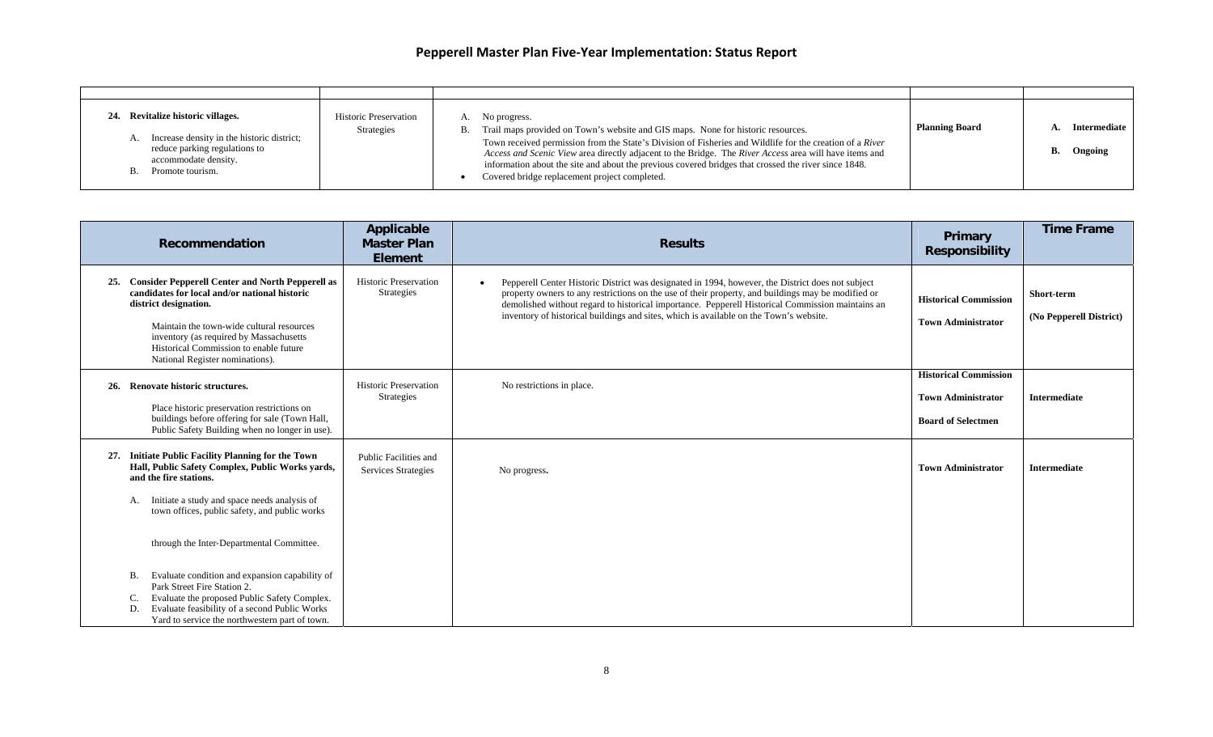| Revitalize historic villages.<br>A. Increase density in the historic district;<br>reduce parking regulations to<br>accommodate density.<br>B. Promote tourism. | <b>Historic Preservation</b><br>Strategies | No progress.<br>Trail maps provided on Town's website and GIS maps. None for historic resources.<br>В.<br>Town received permission from the State's Division of Fisheries and Wildlife for the creation of a River<br>Access and Scenic View area directly adjacent to the Bridge. The River Access area will have items and<br>information about the site and about the previous covered bridges that crossed the river since 1848.<br>Covered bridge replacement project completed. | <b>Planning Board</b> | Intermediate  <br>Ongoing |
|----------------------------------------------------------------------------------------------------------------------------------------------------------------|--------------------------------------------|---------------------------------------------------------------------------------------------------------------------------------------------------------------------------------------------------------------------------------------------------------------------------------------------------------------------------------------------------------------------------------------------------------------------------------------------------------------------------------------|-----------------------|---------------------------|

|     | Recommendation                                                                                                                                                                                                                                                                                         | Applicable<br><b>Master Plan</b><br><b>Element</b> | <b>Results</b>                                                                                                                                                                                                                                                                                                                                                                                                     | Primary<br><b>Responsibility</b>                                                       | <b>Time Frame</b>                     |
|-----|--------------------------------------------------------------------------------------------------------------------------------------------------------------------------------------------------------------------------------------------------------------------------------------------------------|----------------------------------------------------|--------------------------------------------------------------------------------------------------------------------------------------------------------------------------------------------------------------------------------------------------------------------------------------------------------------------------------------------------------------------------------------------------------------------|----------------------------------------------------------------------------------------|---------------------------------------|
| 25. | <b>Consider Pepperell Center and North Pepperell as</b><br>candidates for local and/or national historic<br>district designation.<br>Maintain the town-wide cultural resources<br>inventory (as required by Massachusetts<br>Historical Commission to enable future<br>National Register nominations). | <b>Historic Preservation</b><br>Strategies         | Pepperell Center Historic District was designated in 1994, however, the District does not subject<br>$\bullet$<br>property owners to any restrictions on the use of their property, and buildings may be modified or<br>demolished without regard to historical importance. Pepperell Historical Commission maintains an<br>inventory of historical buildings and sites, which is available on the Town's website. | <b>Historical Commission</b><br><b>Town Administrator</b>                              | Short-term<br>(No Pepperell District) |
|     | 26. Renovate historic structures.<br>Place historic preservation restrictions on<br>buildings before offering for sale (Town Hall,<br>Public Safety Building when no longer in use).                                                                                                                   | <b>Historic Preservation</b><br>Strategies         | No restrictions in place.                                                                                                                                                                                                                                                                                                                                                                                          | <b>Historical Commission</b><br><b>Town Administrator</b><br><b>Board of Selectmen</b> | <b>Intermediate</b>                   |
| 27. | <b>Initiate Public Facility Planning for the Town</b><br>Hall, Public Safety Complex, Public Works yards,<br>and the fire stations.<br>Initiate a study and space needs analysis of<br>А.<br>town offices, public safety, and public works                                                             | Public Facilities and<br>Services Strategies       | No progress.                                                                                                                                                                                                                                                                                                                                                                                                       | <b>Town Administrator</b>                                                              | <b>Intermediate</b>                   |
|     | through the Inter-Departmental Committee.                                                                                                                                                                                                                                                              |                                                    |                                                                                                                                                                                                                                                                                                                                                                                                                    |                                                                                        |                                       |
|     | Evaluate condition and expansion capability of<br>В.<br>Park Street Fire Station 2.<br>Evaluate the proposed Public Safety Complex.<br>C.<br>Evaluate feasibility of a second Public Works<br>D.<br>Yard to service the northwestern part of town.                                                     |                                                    |                                                                                                                                                                                                                                                                                                                                                                                                                    |                                                                                        |                                       |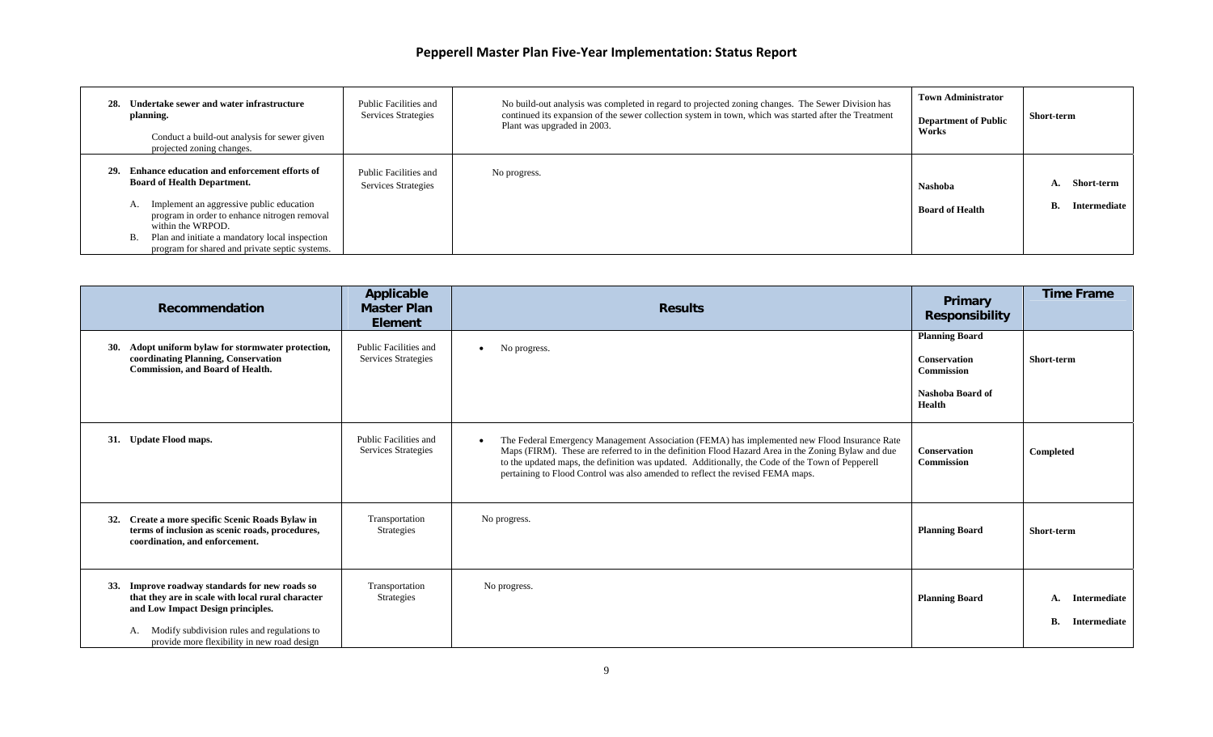| Undertake sewer and water infrastructure<br>28.<br>planning.<br>Conduct a build-out analysis for sewer given<br>projected zoning changes.                                             | Public Facilities and<br><b>Services Strategies</b> | No build-out analysis was completed in regard to projected zoning changes. The Sewer Division has<br>continued its expansion of the sewer collection system in town, which was started after the Treatment<br>Plant was upgraded in 2003. | <b>Town Administrator</b><br><b>Department of Public</b><br>Works | Short-term                         |
|---------------------------------------------------------------------------------------------------------------------------------------------------------------------------------------|-----------------------------------------------------|-------------------------------------------------------------------------------------------------------------------------------------------------------------------------------------------------------------------------------------------|-------------------------------------------------------------------|------------------------------------|
| Enhance education and enforcement efforts of<br>29.<br><b>Board of Health Department.</b><br>Implement an aggressive public education<br>program in order to enhance nitrogen removal | Public Facilities and<br>Services Strategies        | No progress.                                                                                                                                                                                                                              | Nashoba<br><b>Board of Health</b>                                 | Short-term<br>Intermediate  <br>В. |
| within the WRPOD.<br>Plan and initiate a mandatory local inspection<br><b>B.</b><br>program for shared and private septic systems.                                                    |                                                     |                                                                                                                                                                                                                                           |                                                                   |                                    |

| Recommendation                                                                                                                                                                                                                                         | Applicable<br><b>Master Plan</b><br><b>Element</b> | <b>Results</b>                                                                                                                                                                                                                                                                                                                                                                                        | Primary<br><b>Responsibility</b>                                                         | <b>Time Frame</b>                        |
|--------------------------------------------------------------------------------------------------------------------------------------------------------------------------------------------------------------------------------------------------------|----------------------------------------------------|-------------------------------------------------------------------------------------------------------------------------------------------------------------------------------------------------------------------------------------------------------------------------------------------------------------------------------------------------------------------------------------------------------|------------------------------------------------------------------------------------------|------------------------------------------|
| <b>30.</b><br>Adopt uniform bylaw for stormwater protection,<br>coordinating Planning, Conservation<br><b>Commission, and Board of Health.</b>                                                                                                         | Public Facilities and<br>Services Strategies       | No progress.<br>$\bullet$                                                                                                                                                                                                                                                                                                                                                                             | <b>Planning Board</b><br>Conservation<br><b>Commission</b><br>Nashoba Board of<br>Health | Short-term                               |
| 31. Update Flood maps.                                                                                                                                                                                                                                 | Public Facilities and<br>Services Strategies       | The Federal Emergency Management Association (FEMA) has implemented new Flood Insurance Rate<br>$\bullet$<br>Maps (FIRM). These are referred to in the definition Flood Hazard Area in the Zoning Bylaw and due<br>to the updated maps, the definition was updated. Additionally, the Code of the Town of Pepperell<br>pertaining to Flood Control was also amended to reflect the revised FEMA maps. | <b>Conservation</b><br><b>Commission</b>                                                 | Completed                                |
| Create a more specific Scenic Roads Bylaw in<br>32.<br>terms of inclusion as scenic roads, procedures,<br>coordination, and enforcement.                                                                                                               | Transportation<br><b>Strategies</b>                | No progress.                                                                                                                                                                                                                                                                                                                                                                                          | <b>Planning Board</b>                                                                    | Short-term                               |
| <b>33.</b><br>Improve roadway standards for new roads so<br>that they are in scale with local rural character<br>and Low Impact Design principles.<br>Modify subdivision rules and regulations to<br>А.<br>provide more flexibility in new road design | Transportation<br><b>Strategies</b>                | No progress.                                                                                                                                                                                                                                                                                                                                                                                          | <b>Planning Board</b>                                                                    | Intermediate<br>A.<br>В.<br>Intermediate |